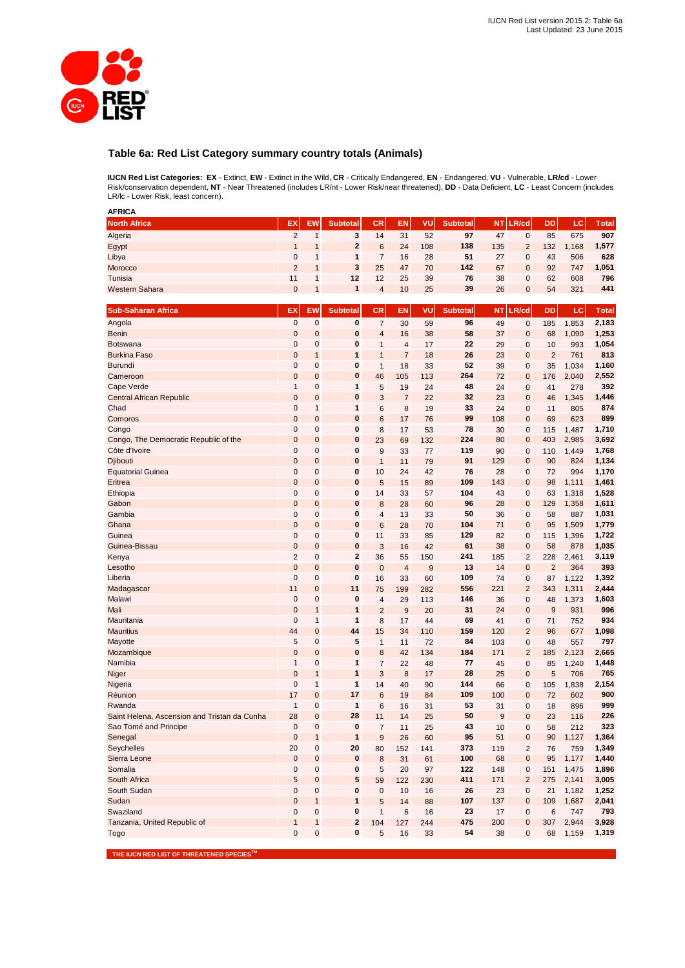

# **Table 6a: Red List Category summary country totals (Animals)**

**IUCN Red List Categories: EX** - Extinct, **EW** - Extinct in the Wild, **CR** - Critically Endangered, **EN** - Endangered, **VU** - Vulnerable, **LR/cd** - Lower Risk/conservation dependent, **NT** - Near Threatened (includes LR/nt - Lower Risk/near threatened), **DD** - Data Deficient, **LC** - Least Concern (includes LR/lc - Lower Risk, least concern).

| <b>AFRICA</b>                                |                |                |                 |                |                |     |                 |           |                         |                |       |              |
|----------------------------------------------|----------------|----------------|-----------------|----------------|----------------|-----|-----------------|-----------|-------------------------|----------------|-------|--------------|
| <b>North Africa</b>                          | EX             | <b>EW</b>      | <b>Subtotal</b> | CR             | <b>EN</b>      | VU  | <b>Subtotal</b> | <b>NT</b> | LR/cd                   | DD             | LC    | <b>Total</b> |
| Algeria                                      | $\overline{2}$ | 1              | 3               | 14             | 31             | 52  | 97              | 47        | 0                       | 85             | 675   | 907          |
| Egypt                                        | 1              | 1              | $\mathbf{2}$    | 6              | 24             | 108 | 138             | 135       | $\overline{2}$          | 132            | 1,168 | 1,577        |
|                                              | 0              | 1              | $\mathbf{1}$    | $\overline{7}$ | 16             | 28  | 51              | 27        | 0                       | 43             | 506   | 628          |
| Libya                                        | $\overline{2}$ | $\mathbf{1}$   | 3               | 25             |                |     | 142             | 67        |                         |                |       | 1,051        |
| Morocco                                      |                |                |                 |                | 47             | 70  |                 |           | 0                       | 92             | 747   |              |
| Tunisia                                      | 11             | 1              | 12              | 12             | 25             | 39  | 76              | 38        | 0                       | 62             | 608   | 796          |
| <b>Western Sahara</b>                        | $\mathbf 0$    | 1              | 1               | $\overline{4}$ | 10             | 25  | 39              | 26        | $\mathbf 0$             | 54             | 321   | 441          |
| <b>Sub-Saharan Africa</b>                    | EX             | EW             | <b>Subtotal</b> | CR             | <b>EN</b>      | VU  | <b>Subtotal</b> | <b>NT</b> | .R/cd                   | DD             | LC    | Total        |
|                                              |                |                |                 |                |                |     |                 |           |                         |                |       |              |
| Angola                                       | $\mathbf 0$    | $\mathbf 0$    | 0               | $\overline{7}$ | 30             | 59  | 96              | 49        | $\mathbf 0$             | 185            | 1,853 | 2,183        |
| <b>Benin</b>                                 | $\mathbf 0$    | $\mathbf 0$    | 0               | $\overline{4}$ | 16             | 38  | 58              | 37        | $\mathbf 0$             | 68             | 1,090 | 1,253        |
| <b>Botswana</b>                              | 0              | $\mathbf 0$    | 0               | 1              | 4              | 17  | 22              | 29        | $\mathbf 0$             | 10             | 993   | 1,054        |
| <b>Burkina Faso</b>                          | $\mathbf 0$    | 1              | 1               | $\mathbf{1}$   | $\overline{7}$ | 18  | 26              | 23        | $\mathbf 0$             | $\overline{2}$ | 761   | 813          |
| Burundi                                      | 0              | $\mathbf 0$    | 0               | $\mathbf{1}$   | 18             | 33  | 52              | 39        | 0                       | 35             | 1,034 | 1,160        |
| Cameroon                                     | 0              | $\mathbf 0$    | 0               | 46             | 105            | 113 | 264             | 72        | $\mathbf{0}$            | 176            | 2,040 | 2,552        |
| Cape Verde                                   | 1              | $\mathbf 0$    | $\mathbf{1}$    | 5              | 19             | 24  | 48              | 24        | $\mathbf 0$             | 41             | 278   | 392          |
| <b>Central African Republic</b>              | $\mathbf 0$    | $\mathbf 0$    | 0               | 3              | $\overline{7}$ | 22  | 32              | 23        | $\mathbf 0$             | 46             | 1,345 | 1,446        |
| Chad                                         | 0              | 1              | 1               | 6              | 8              | 19  | 33              | 24        | 0                       | 11             | 805   | 874          |
| Comoros                                      | 0              | $\mathbf 0$    | 0               | 6              | 17             | 76  | 99              | 108       | $\mathbf 0$             | 69             | 623   | 899          |
| Congo                                        | 0              | $\mathbf 0$    | 0               | 8              | 17             | 53  | 78              | 30        | 0                       | 115            | 1,487 | 1,710        |
| Congo, The Democratic Republic of the        | 0              | $\mathbf 0$    | 0               | 23             | 69             | 132 | 224             | 80        | $\mathbf 0$             | 403            | 2,985 | 3,692        |
| Côte d'Ivoire                                | 0              | $\mathbf 0$    | 0               | 9              | 33             | 77  | 119             | 90        | $\mathbf 0$             | 110            | 1,449 | 1,768        |
| Djibouti                                     | $\mathbf 0$    | $\mathbf 0$    | 0               | $\mathbf{1}$   | 11             | 79  | 91              | 129       | $\mathbf 0$             | 90             | 824   | 1,134        |
|                                              |                |                | 0               |                |                |     | 76              |           |                         |                |       | 1,170        |
| <b>Equatorial Guinea</b>                     | 0              | $\mathbf{0}$   |                 | 10             | 24             | 42  |                 | 28        | 0                       | 72             | 994   |              |
| Eritrea                                      | $\mathbf 0$    | $\mathbf{0}$   | 0               | 5              | 15             | 89  | 109             | 143       | $\mathbf 0$             | 98             | 1,111 | 1,461        |
| Ethiopia                                     | 0              | 0              | 0               | 14             | 33             | 57  | 104             | 43        | $\mathbf 0$             | 63             | 1,318 | 1,528        |
| Gabon                                        | $\mathbf 0$    | $\mathbf{0}$   | 0               | 8              | 28             | 60  | 96              | 28        | $\mathbf 0$             | 129            | 1,358 | 1,611        |
| Gambia                                       | 0              | 0              | 0               | $\overline{4}$ | 13             | 33  | 50              | 36        | $\mathbf 0$             | 58             | 887   | 1,031        |
| Ghana                                        | $\overline{0}$ | $\overline{0}$ | $\bf{0}$        | 6              | 28             | 70  | 104             | 71        | $\mathbf 0$             | 95             | 1,509 | 1,779        |
| Guinea                                       | $\mathbf 0$    | 0              | 0               | 11             | 33             | 85  | 129             | 82        | $\mathbf 0$             | 115            | 1,396 | 1,722        |
| Guinea-Bissau                                | 0              | $\mathbf 0$    | 0               | 3              | 16             | 42  | 61              | 38        | $\mathbf 0$             | 58             | 878   | 1,035        |
| Kenya                                        | $\overline{2}$ | $\mathbf 0$    | $\mathbf{2}$    | 36             | 55             | 150 | 241             | 185       | $\overline{2}$          | 228            | 2,461 | 3,119        |
| Lesotho                                      | $\mathbf 0$    | $\mathbf 0$    | $\mathbf{0}$    | $\mathbf 0$    | $\overline{4}$ | 9   | 13              | 14        | $\mathbf 0$             | $\overline{2}$ | 364   | 393          |
| Liberia                                      | $\mathbf 0$    | $\pmb{0}$      | 0               | 16             | 33             | 60  | 109             | 74        | 0                       | 87             | 1,122 | 1,392        |
| Madagascar                                   | 11             | $\mathbf{0}$   | 11              | 75             | 199            | 282 | 556             | 221       | $\overline{2}$          | 343            | 1,311 | 2,444        |
| Malawi                                       | 0              | $\mathbf 0$    | 0               | $\overline{4}$ | 29             | 113 | 146             | 36        | $\mathbf 0$             | 48             | 1,373 | 1,603        |
| Mali                                         | $\mathbf 0$    | $\mathbf{1}$   | $\mathbf{1}$    | $\overline{2}$ | 9              | 20  | 31              | 24        | $\mathbf{0}$            | 9              | 931   | 996          |
| Mauritania                                   | $\mathbf 0$    | $\mathbf{1}$   | 1               | 8              | 17             | 44  | 69              | 41        | $\mathbf 0$             | 71             | 752   | 934          |
| <b>Mauritius</b>                             | 44             | $\mathbf 0$    | 44              | 15             | 34             | 110 | 159             | 120       | $\overline{2}$          | 96             | 677   | 1,098        |
| Mayotte                                      | 5              | $\mathbf 0$    | 5               | $\mathbf{1}$   |                | 72  | 84              | 103       |                         | 48             |       | 797          |
|                                              |                |                |                 |                | 11             |     |                 |           | 0<br>$\overline{2}$     |                | 557   |              |
| Mozambique                                   | $\mathbf 0$    | $\mathbf{0}$   | 0               | 8              | 42             | 134 | 184             | 171       |                         | 185            | 2,123 | 2,665        |
| Namibia                                      | $\mathbf{1}$   | $\mathbf 0$    | 1               | $\overline{7}$ | 22             | 48  | 77              | 45        | 0                       | 85             | 1,240 | 1,448        |
| Niger                                        | $\mathbf 0$    | 1              | 1               | 3              | 8              | 17  | 28              | 25        | $\mathbf{0}$            | 5              | 706   | 765          |
| Nigeria                                      | 0              | 1              | $\mathbf{1}$    | 14             | 40             | 90  | 144             | 66        | 0                       | 105            | 1,838 | 2,154        |
| Réunion                                      | 17             | $\mathbf 0$    | 17              | 6              | 19             | 84  | 109             | 100       | $\mathbf 0$             | 72             | 602   | 900          |
| Rwanda                                       | $\overline{1}$ | $\mathbf 0$    | 1               | 6              | 16             | 31  | 53              | 31        | 0                       | 18             | 896   | 999          |
| Saint Helena, Ascension and Tristan da Cunha | 28             | $\mathbf{0}$   | 28              | 11             | 14             | 25  | 50              | 9         | $\mathbf{0}$            | 23             | 116   | 226          |
| Sao Tomé and Principe                        | 0              | 0              | 0               | 7              | 11             | 25  | 43              | 10        | 0                       | 58             | 212   | 323          |
| Senegal                                      | $\pmb{0}$      | $\mathbf{1}$   | $\mathbf{1}$    | 9              | 26             | 60  | 95              | 51        | $\pmb{0}$               | 90             | 1,127 | 1,364        |
| Seychelles                                   | 20             | $\pmb{0}$      | 20              | 80             | 152            | 141 | 373             | 119       | $\overline{\mathbf{c}}$ | 76             | 759   | 1,349        |
| Sierra Leone                                 | $\pmb{0}$      | $\pmb{0}$      | 0               | 8              | 31             | 61  | 100             | 68        | $\pmb{0}$               | 95             | 1,177 | 1,440        |
| Somalia                                      | $\pmb{0}$      | $\mathbf 0$    | 0               | 5              | 20             | 97  | 122             | 148       | $\pmb{0}$               | 151            | 1,475 | 1,896        |
| South Africa                                 | 5              | $\mathbf 0$    | 5               | 59             | 122            | 230 | 411             | 171       | $\overline{2}$          | 275            | 2,141 | 3,005        |
| South Sudan                                  | 0              | $\pmb{0}$      | $\pmb{0}$       | $\pmb{0}$      | 10             | 16  | 26              | 23        | $\pmb{0}$               | 21             | 1,182 | 1,252        |
| Sudan                                        | $\mathbf 0$    | $\mathbf{1}$   | $\mathbf{1}$    | 5              | 14             |     | 107             | 137       | $\pmb{0}$               | 109            | 1,687 | 2,041        |
|                                              |                |                |                 |                |                | 88  |                 |           |                         |                |       |              |
| Swaziland                                    | 0              | $\pmb{0}$      | 0               | $\mathbf{1}$   | 6              | 16  | 23              | 17        | $\pmb{0}$               | 6              | 747   | 793          |
| Tanzania, United Republic of                 | $\mathbf{1}$   | $\mathbf{1}$   | 2               | 104            | 127            | 244 | 475             | 200       | $\pmb{0}$               | 307            | 2,944 | 3,928        |
| Togo                                         | 0              | $\pmb{0}$      | 0               | 5              | 16             | 33  | 54              | 38        | $\pmb{0}$               | 68             | 1,159 | 1,319        |

 **THE IUCN RED LIST OF THREATENED SPECIESTM**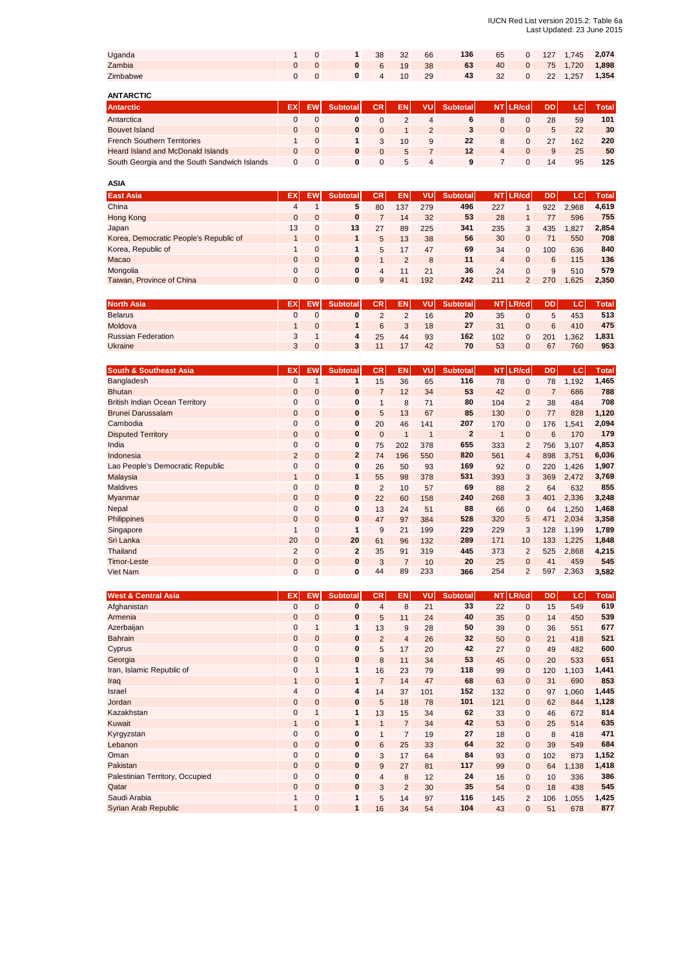| Uganda   |  | 38        | 32 | 66 | 136 | 65 | $\overline{0}$ |  | 127 1,745 2,074     |
|----------|--|-----------|----|----|-----|----|----------------|--|---------------------|
| Zambia   |  | 0 6 19 38 |    |    | 63  |    |                |  | 40 0 75 1,720 1,898 |
| Zimbabwe |  | 0 4 10 29 |    |    | 43  |    |                |  | 32 0 22 1,257 1,354 |

| <b>ANTARCTIC</b>                             |    |           |                 |            |     |               |                 |   |          |     |     |              |
|----------------------------------------------|----|-----------|-----------------|------------|-----|---------------|-----------------|---|----------|-----|-----|--------------|
| <b>Antarctic</b>                             | EX | <b>EW</b> | <b>Subtotal</b> | <b>CRI</b> | EN. | VUI           | <b>Subtotal</b> |   | NT LR/cd | DD. | LC  | <b>Total</b> |
| Antarctica                                   |    |           |                 |            |     | 4             | 6               |   |          | 28  | 59  | 101          |
| <b>Bouvet Island</b>                         | 0  |           |                 |            |     | $\mathcal{P}$ | 3               | 0 | $\Omega$ | 5   | 22  | 30           |
| <b>French Southern Territories</b>           |    |           |                 | 3          | 10  | 9             | 22              | 8 |          | 27  | 162 | 220          |
| <b>Heard Island and McDonald Islands</b>     |    |           | 0               |            | 5   |               | 12              | 4 |          | 9   | 25  | 50           |
| South Georgia and the South Sandwich Islands |    |           |                 |            | 5   | 4             | 9               |   |          | 14  | 95  | 125          |

| <b>ASIA</b>                            |              |              |          |           |           |     |                 |                |                |     |       |              |
|----------------------------------------|--------------|--------------|----------|-----------|-----------|-----|-----------------|----------------|----------------|-----|-------|--------------|
| <b>East Asia</b>                       | EX           | EW           | Subtotal | <b>CR</b> | <b>EN</b> | vu  | <b>Subtotal</b> | <b>NT</b>      | LR/cd          | DD. | c     | <b>Total</b> |
| China                                  | 4            |              | 5        | 80        | 137       | 279 | 496             | 227            |                | 922 | 2.968 | 4,619        |
| Hong Kong                              | $\mathbf{0}$ | $\mathbf{0}$ | $\bf{0}$ |           | 14        | 32  | 53              | 28             |                | 77  | 596   | 755          |
| Japan                                  | 13           | 0            | 13       | 27        | 89        | 225 | 341             | 235            | 3              | 435 | 1.827 | 2.854        |
| Korea, Democratic People's Republic of |              | $\mathbf{0}$ |          | 5         | 13        | 38  | 56              | 30             | $\mathbf{0}$   | 71  | 550   | 708          |
| Korea, Republic of                     |              | $\Omega$     |          | 5         | 17        | 47  | 69              | 34             | $\Omega$       | 100 | 636   | 840          |
| Macao                                  | $\Omega$     | $\mathbf{0}$ | $\bf{0}$ |           | 2         | 8   | 11              | $\overline{4}$ | $\mathbf{0}$   | 6   | 115   | 136          |
| Mongolia                               | $\Omega$     | $\Omega$     | 0        | 4         | 11        | 21  | 36              | 24             | $\mathbf{0}$   | 9   | 510   | 579          |
| Taiwan, Province of China              | $\Omega$     | $\mathbf{0}$ | $\bf{0}$ | 9         | 41        | 192 | 242             | 211            | $\overline{2}$ | 270 | .625  | 2.350        |

| <b>North Asia</b>         | ЕX | EW. | <b>Subtotal</b> | CR. | EN. | vul | <b>Subtotal</b> | <b>NT</b> | LR/cd | <b>DD</b> | LC.  | <b>Total</b> |
|---------------------------|----|-----|-----------------|-----|-----|-----|-----------------|-----------|-------|-----------|------|--------------|
| <b>Belarus</b>            |    |     |                 |     |     | 16  | 20              | 35        |       | 5         | 453  | 513          |
| Moldova                   |    |     |                 | 6   |     | 18  | 27              | 31        |       | 6         | 410  | 475          |
| <b>Russian Federation</b> |    |     | 4               | 25  | 44  | 93  | 162             | 102       |       | 201       | .362 | 1,831        |
| <b>Ukraine</b>            |    |     |                 |     |     | 42  | 70              | 53        |       | 67        | 760  | 953          |

| <b>South &amp; Southeast Asia</b>     | EX             | <b>EW</b>    | <b>Subtotal</b> | CR.            | EN.            | VU  | <b>Subtotal</b> | NT. | LR/cd          | <b>DD</b>      | LC.   | <b>Total</b> |
|---------------------------------------|----------------|--------------|-----------------|----------------|----------------|-----|-----------------|-----|----------------|----------------|-------|--------------|
| Bangladesh                            | $\mathbf{0}$   |              | 1               | 15             | 36             | 65  | 116             | 78  | $\mathbf{0}$   | 78             | 1,192 | 1,465        |
| <b>Bhutan</b>                         | $\mathbf 0$    | $\mathbf{0}$ | $\mathbf{0}$    | $\overline{7}$ | 12             | 34  | 53              | 42  | $\mathbf{0}$   | $\overline{7}$ | 686   | 788          |
| <b>British Indian Ocean Territory</b> | 0              | $\mathbf{0}$ | $\bf{0}$        | $\mathbf{1}$   | 8              | 71  | 80              | 104 | 2              | 38             | 484   | 708          |
| <b>Brunei Darussalam</b>              | $\mathbf 0$    | $\mathbf{0}$ | $\bf{0}$        | 5              | 13             | 67  | 85              | 130 | $\mathbf{0}$   | 77             | 828   | 1,120        |
| Cambodia                              | 0              | $\mathbf{0}$ | $\mathbf 0$     | 20             | 46             | 141 | 207             | 170 | $\mathbf{0}$   | 176            | 1,541 | 2,094        |
| <b>Disputed Territory</b>             | $\mathbf 0$    | $\mathbf{0}$ | $\bf{0}$        | $\mathbf 0$    |                | 1   | $\overline{2}$  | 1   | $\mathbf 0$    | 6              | 170   | 179          |
| India                                 | $\mathbf{0}$   | $\mathbf 0$  | 0               | 75             | 202            | 378 | 655             | 333 | $\overline{2}$ | 756            | 3,107 | 4,853        |
| Indonesia                             | $\overline{2}$ | $\mathbf{0}$ | $\overline{2}$  | 74             | 196            | 550 | 820             | 561 | $\overline{4}$ | 898            | 3.751 | 6,036        |
| Lao People's Democratic Republic      | $\mathbf{0}$   | $\mathbf{0}$ | $\mathbf{0}$    | 26             | 50             | 93  | 169             | 92  | $\mathbf 0$    | 220            | 1,426 | 1,907        |
| Malaysia                              | $\mathbf{1}$   | $\mathbf{0}$ | $\mathbf{1}$    | 55             | 98             | 378 | 531             | 393 | $\mathbf{3}$   | 369            | 2,472 | 3,769        |
| <b>Maldives</b>                       | $\mathbf{0}$   | $\mathbf{0}$ | $\bf{0}$        | $\overline{2}$ | 10             | 57  | 69              | 88  | 2              | 64             | 632   | 855          |
| Myanmar                               | 0              | $\mathbf{0}$ | $\mathbf{0}$    | 22             | 60             | 158 | 240             | 268 | 3              | 401            | 2,336 | 3,248        |
| Nepal                                 | $\mathbf{0}$   | $\mathbf{0}$ | $\mathbf{0}$    | 13             | 24             | 51  | 88              | 66  | $\mathbf 0$    | 64             | 1,250 | 1,468        |
| Philippines                           | $\mathbf 0$    | $\mathbf{0}$ | $\bf{0}$        | 47             | 97             | 384 | 528             | 320 | 5              | 471            | 2,034 | 3,358        |
| Singapore                             | $\mathbf{1}$   | $\mathbf{0}$ | $\mathbf 1$     | 9              | 21             | 199 | 229             | 229 | 3              | 128            | 1,199 | 1,789        |
| Sri Lanka                             | 20             | $\mathbf{0}$ | 20              | 61             | 96             | 132 | 289             | 171 | 10             | 133            | 1,225 | 1,848        |
| Thailand                              | $\overline{2}$ | $\mathbf{0}$ | $\overline{2}$  | 35             | 91             | 319 | 445             | 373 | 2              | 525            | 2,868 | 4,215        |
| <b>Timor-Leste</b>                    | 0              | $\mathbf{0}$ | $\bf{0}$        | 3              | $\overline{7}$ | 10  | 20              | 25  | $\mathbf{0}$   | 41             | 459   | 545          |
| Viet Nam                              | 0              | $\mathbf{0}$ | 0               | 44             | 89             | 233 | 366             | 254 | 2              | 597            | 2,363 | 3,582        |

| <b>West &amp; Central Asia</b>  | EX             | <b>EW</b>    | <b>Subtotal</b> | CR.            | EN.            | VU  | <b>Subtotal</b> | NT  | LR/cd          | <b>DD</b> | LC.   | <b>Total</b> |
|---------------------------------|----------------|--------------|-----------------|----------------|----------------|-----|-----------------|-----|----------------|-----------|-------|--------------|
| Afghanistan                     | 0              | $\mathbf 0$  | 0               | $\overline{4}$ | 8              | 21  | 33              | 22  | 0              | 15        | 549   | 619          |
| Armenia                         | $\mathbf 0$    | $\mathbf{0}$ | 0               | 5              | 11             | 24  | 40              | 35  | $\mathbf 0$    | 14        | 450   | 539          |
| Azerbaijan                      | 0              |              | 1               | 13             | 9              | 28  | 50              | 39  | 0              | 36        | 551   | 677          |
| <b>Bahrain</b>                  | $\mathbf 0$    | $\mathbf 0$  | 0               | $\overline{2}$ | $\overline{4}$ | 26  | 32 <sub>2</sub> | 50  | $\mathbf 0$    | 21        | 418   | 521          |
| Cyprus                          | 0              | $\mathbf 0$  | 0               | 5              | 17             | 20  | 42              | 27  | $\mathbf{0}$   | 49        | 482   | 600          |
| Georgia                         | $\pmb{0}$      | $\mathbf{0}$ | 0               | 8              | 11             | 34  | 53              | 45  | $\mathbf 0$    | 20        | 533   | 651          |
| Iran, Islamic Republic of       | 0              | $\mathbf 1$  | 1               | 16             | 23             | 79  | 118             | 99  | $\mathbf{0}$   | 120       | 1,103 | 1,441        |
| Iraq                            | $\mathbf{1}$   | $\mathbf{0}$ | 1               | $\overline{7}$ | 14             | 47  | 68              | 63  | 0              | 31        | 690   | 853          |
| Israel                          | $\overline{4}$ | $\mathbf{0}$ | 4               | 14             | 37             | 101 | 152             | 132 | 0              | 97        | ,060  | 1,445        |
| Jordan                          | $\mathbf 0$    | $\mathbf 0$  | 0               | 5              | 18             | 78  | 101             | 121 | $\mathbf{0}$   | 62        | 844   | 1,128        |
| Kazakhstan                      | 0              |              | 1               | 13             | 15             | 34  | 62              | 33  | $\mathbf 0$    | 46        | 672   | 814          |
| Kuwait                          | $\mathbf{1}$   | $\mathbf{0}$ | 1               | $\mathbf{1}$   | $\overline{7}$ | 34  | 42              | 53  | $\mathbf 0$    | 25        | 514   | 635          |
| Kyrgyzstan                      | $\mathbf{0}$   | $\mathbf{0}$ | 0               | $\mathbf{1}$   | $\overline{7}$ | 19  | 27              | 18  | 0              | 8         | 418   | 471          |
| Lebanon                         | $\mathbf{0}$   | $\mathbf 0$  | 0               | 6              | 25             | 33  | 64              | 32  | $\mathbf 0$    | 39        | 549   | 684          |
| Oman                            | 0              | $\mathbf 0$  | 0               | 3              | 17             | 64  | 84              | 93  | $\mathbf{0}$   | 102       | 873   | 1,152        |
| Pakistan                        | $\mathbf 0$    | $\mathbf{0}$ | 0               | 9              | 27             | 81  | 117             | 99  | $\mathbf 0$    | 64        | 1,138 | 1,418        |
| Palestinian Territory, Occupied | 0              | $\mathbf 0$  | 0               | $\overline{4}$ | 8              | 12  | 24              | 16  | 0              | 10        | 336   | 386          |
| Qatar                           | $\mathbf 0$    | $\mathbf 0$  | 0               | 3              | $\overline{2}$ | 30  | 35              | 54  | $\mathbf{0}$   | 18        | 438   | 545          |
| Saudi Arabia                    | $\mathbf{1}$   | $\mathbf{0}$ | 1               | 5              | 14             | 97  | 116             | 145 | $\overline{2}$ | 106       | ,055  | 1,425        |
| <b>Syrian Arab Republic</b>     | $\mathbf{1}$   | $\mathbf{0}$ | 1               | 16             | 34             | 54  | 104             | 43  | $\mathbf{0}$   | 51        | 678   | 877          |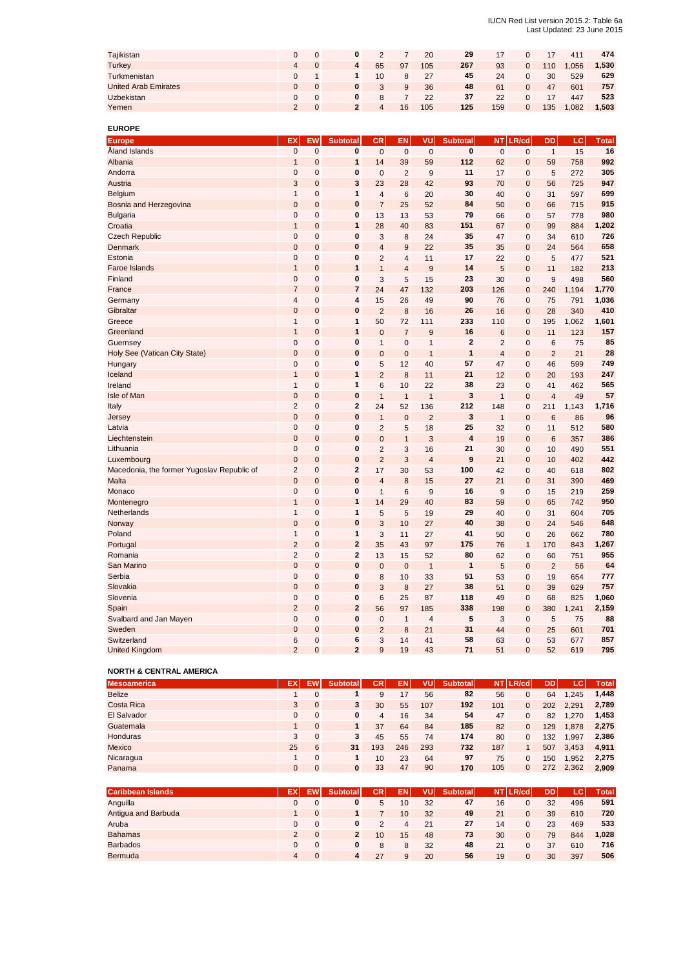#### IUCN Red List version 2015.2: Table 6a Last Updated: 23 June 2015

| Tajikistan                  |                |   |    |    | 20  | 29  | 17  |     | 411  | 474   |
|-----------------------------|----------------|---|----|----|-----|-----|-----|-----|------|-------|
| <b>Turkey</b>               | $\overline{4}$ | 4 | 65 | 97 | 105 | 267 | 93  | 110 | .056 | 1,530 |
| Turkmenistan                |                |   | 10 | 8  | 27  | 45  | 24  | 30  | 529  | 629   |
| <b>United Arab Emirates</b> |                |   | 3  | 9  | 36  | 48  | 61  | 47  | 601  | 757   |
| Uzbekistan                  |                |   | 8  |    | 22  | 37  | 22  |     | 447  | 523   |
| Yemen                       |                |   | 4  | 16 | 105 | 125 | 159 | 135 | .082 | 1,503 |

**EUROPE**

| <b>Europe</b>                              | EX                  | EW                            | <b>Subtotal</b>         | <b>CR</b>      | EN                      | VU             | <b>Subtotal</b>         | <b>NT</b>      | LR/cd        | <b>DD</b>      | LC    | <b>Total</b> |
|--------------------------------------------|---------------------|-------------------------------|-------------------------|----------------|-------------------------|----------------|-------------------------|----------------|--------------|----------------|-------|--------------|
| Åland Islands                              | $\mathbf 0$         | $\mathbf 0$                   | $\mathbf{0}$            | $\mathbf 0$    | $\overline{0}$          | $\mathbf 0$    | $\bf{0}$                | $\mathbf{0}$   | $\mathbf{0}$ | $\overline{1}$ | 15    | 16           |
| Albania                                    | $\overline{1}$      | $\mathbf 0$                   | $\mathbf{1}$            | 14             | 39                      | 59             | 112                     | 62             | $\mathbf{0}$ | 59             | 758   | 992          |
| Andorra                                    | $\mathbf 0$         | $\mathbf 0$                   | $\bf{0}$                | $\mathbf 0$    | $\overline{2}$          | 9              | 11                      | 17             | $\mathbf 0$  | 5              | 272   | 305          |
| Austria                                    | 3                   | $\overline{0}$                | 3                       | 23             | 28                      | 42             | 93                      | 70             | $\mathbf{0}$ | 56             | 725   | 947          |
| Belgium                                    | $\mathbf{1}$        | $\mathbf 0$                   | 1                       | $\overline{4}$ | 6                       | 20             | 30                      | 40             | $\mathbf 0$  | 31             | 597   | 699          |
| Bosnia and Herzegovina                     | $\mathbf 0$         | $\mathbf 0$                   | 0                       | $\overline{7}$ | 25                      | 52             | 84                      | 50             | $\mathbf 0$  | 66             | 715   | 915          |
| <b>Bulgaria</b>                            | $\mathbf 0$         | $\Omega$                      | $\bf{0}$                | 13             | 13                      | 53             | 79                      | 66             | $\mathbf 0$  | 57             | 778   | 980          |
| Croatia                                    | $\mathbf{1}$        | $\mathbf 0$                   | $\mathbf{1}$            | 28             | 40                      | 83             | 151                     | 67             | $\mathbf 0$  | 99             | 884   | 1,202        |
| <b>Czech Republic</b>                      | $\mathbf 0$         | $\mathbf 0$                   | $\bf{0}$                | 3              | 8                       | 24             | 35                      | 47             | $\mathbf 0$  | 34             | 610   | 726          |
| <b>Denmark</b>                             | $\mathbf 0$         | $\mathbf 0$                   | $\bf{0}$                | 4              | 9                       | 22             | 35                      | 35             | $\mathbf{0}$ | 24             | 564   | 658          |
| Estonia                                    | $\mathbf 0$         | $\mathbf 0$                   | $\bf{0}$                | $\overline{2}$ | $\overline{\mathbf{4}}$ | 11             | 17                      | 22             | $\mathbf 0$  | 5              | 477   | 521          |
| <b>Faroe Islands</b>                       | $\overline{1}$      | $\overline{0}$                | $\overline{1}$          | $\overline{1}$ | $\overline{4}$          | 9              | 14                      | 5              | $\mathbf{0}$ | 11             | 182   | 213          |
| Finland                                    | $\mathbf 0$         | $\mathbf 0$                   | $\bf{0}$                | 3              | 5                       | 15             | 23                      | 30             | $\mathbf 0$  | 9              | 498   | 560          |
| France                                     | $\overline{7}$      | $\mathbf{0}$                  | $\overline{7}$          | 24             | 47                      | 132            | 203                     | 126            | $\mathbf 0$  | 240            | 1,194 | 1,770        |
| Germany                                    | $\overline{4}$      | $\mathbf 0$                   | $\overline{\mathbf{4}}$ | 15             | 26                      | 49             | 90                      | 76             | $\mathbf{0}$ | 75             | 791   | 1,036        |
| Gibraltar                                  | $\mathbf 0$         | $\mathbf 0$                   | $\bf{0}$                | $\overline{2}$ | 8                       | 16             | 26                      | 16             | $\mathbf 0$  | 28             | 340   | 410          |
| Greece                                     | $\mathbf{1}$        | $\mathbf 0$                   | 1                       | 50             | 72                      | 111            | 233                     | 110            | $\mathbf 0$  | 195            | 1,062 | 1,601        |
| Greenland                                  | $\mathbf{1}$        | $\mathbf 0$                   | $\mathbf{1}$            | $\mathbf 0$    | $\overline{7}$          | 9              | 16                      | 6              | $\mathbf 0$  | 11             | 123   | 157          |
| Guernsey                                   | $\mathbf 0$         | $\mathbf 0$                   | 0                       | 1              | 0                       | $\mathbf{1}$   | $\overline{2}$          | $\overline{2}$ | $\mathbf 0$  | 6              | 75    | 85           |
| Holy See (Vatican City State)              | $\overline{0}$      | $\overline{0}$                | $\bf{0}$                | $\overline{0}$ | $\overline{0}$          | $\mathbf{1}$   | $\mathbf{1}$            | $\overline{4}$ | $\mathbf 0$  | $\overline{2}$ | 21    | 28           |
| Hungary                                    | $\mathbf 0$         | $\mathbf 0$                   | $\bf{0}$                | 5              | 12                      | 40             | 57                      | 47             | $\mathbf 0$  | 46             | 599   | 749          |
| Iceland                                    | $\mathbf{1}$        | $\mathbf 0$                   | $\mathbf{1}$            | $\overline{2}$ | 8                       | 11             | 21                      | 12             | $\mathbf{0}$ | 20             | 193   | 247          |
| Ireland                                    | $\mathbf{1}$        | $\mathbf 0$                   | $\mathbf{1}$            | 6              | 10                      | 22             | 38                      | 23             | $\mathbf{0}$ | 41             | 462   | 565          |
| Isle of Man                                | $\mathbf 0$         | $\mathbf 0$                   | $\bf{0}$                | $\overline{1}$ | $\mathbf{1}$            | $\overline{1}$ | 3                       | $\overline{1}$ | $\mathbf 0$  | $\overline{4}$ | 49    | 57           |
| Italy                                      | $\overline{2}$      | $\mathbf 0$                   | $\overline{2}$          | 24             | 52                      | 136            | 212                     | 148            | $\mathbf{0}$ | 211            | 1,143 | 1,716        |
| Jersey                                     | $\overline{0}$      | $\overline{0}$                | $\bf{0}$                | $\mathbf{1}$   | $\overline{0}$          | $\overline{2}$ | 3                       | $\overline{1}$ | $\mathbf{0}$ | 6              | 86    | 96           |
| Latvia                                     | $\mathbf 0$         | 0                             | 0                       | $\overline{2}$ | 5                       | 18             | 25                      | 32             | $\mathbf 0$  | 11             | 512   | 580          |
| Liechtenstein                              | $\overline{0}$      | $\overline{0}$                | $\bf{0}$                | $\Omega$       | $\overline{1}$          | 3              | $\overline{\mathbf{4}}$ | 19             | $\mathbf{0}$ | 6              | 357   | 386          |
| Lithuania                                  | $\mathbf 0$         | $\mathbf 0$                   | $\bf{0}$                | $\overline{2}$ | 3                       | 16             | 21                      | 30             | $\mathbf 0$  | 10             | 490   | 551          |
| Luxembourg                                 | $\overline{0}$      | $\overline{0}$                | $\bf{0}$                | $\overline{2}$ | 3                       | $\overline{4}$ | 9                       | 21             | $\mathbf{0}$ | 10             | 402   | 442          |
| Macedonia, the former Yugoslav Republic of | $\overline{2}$      | $\mathbf 0$                   | $\overline{2}$          | 17             | 30                      | 53             | 100                     | 42             | $\mathbf{0}$ | 40             | 618   | 802          |
| Malta                                      | $\mathbf 0$         | $\overline{0}$                | $\bf{0}$                | $\overline{4}$ | 8                       | 15             | 27                      | 21             | $\mathbf{0}$ | 31             | 390   | 469          |
| Monaco                                     | $\mathbf 0$         | $\mathbf 0$                   | $\bf{0}$                | $\mathbf{1}$   | 6                       | 9              | 16                      | 9              | $\mathbf 0$  | 15             | 219   | 259          |
| Montenegro                                 | $\overline{1}$      | $\overline{0}$                | $\mathbf{1}$            | 14             | 29                      | 40             | 83                      | 59             | $\mathbf 0$  | 65             | 742   | 950          |
| Netherlands                                | $\mathbf{1}$        | $\mathbf 0$                   | 1                       | 5              | 5                       | 19             | 29                      | 40             | $\mathbf 0$  | 31             | 604   | 705          |
| Norway                                     | $\overline{0}$      | $\mathbf 0$                   | $\bf{0}$                | 3              | 10                      | 27             | 40                      | 38             | $\mathbf{0}$ | 24             | 546   | 648          |
| Poland                                     | $\mathbf{1}$        | $\mathbf 0$                   | 1                       | 3              | 11                      | 27             | 41                      | 50             | $\mathbf{0}$ | 26             | 662   | 780          |
| Portugal                                   | $\overline{2}$      | $\mathbf 0$                   | $\overline{2}$          | 35             | 43                      | 97             | 175                     | 76             | $\mathbf{1}$ | 170            | 843   | 1,267        |
| Romania                                    | $\overline{2}$      | $\mathbf 0$                   | $\overline{2}$          | 13             | 15                      | 52             | 80                      | 62             | $\mathbf{0}$ | 60             | 751   | 955          |
| San Marino                                 | $\mathbf 0$         | $\mathbf 0$                   | $\bf{0}$                | $\mathbf 0$    | $\mathbf 0$             | $\overline{1}$ | $\mathbf{1}$            | 5              | $\mathbf{0}$ | $\overline{2}$ | 56    | 64           |
| Serbia                                     | $\mathbf 0$         | 0                             | $\bf{0}$                | 8              | 10                      | 33             | 51                      | 53             | $\mathbf 0$  | 19             | 654   | 777          |
| Slovakia                                   | $\mathbf 0$         | $\overline{0}$                | $\bf{0}$                | 3              | 8                       | 27             | 38                      | 51             | $\mathbf{0}$ | 39             | 629   | 757          |
| Slovenia                                   | $\mathbf 0$         | 0                             | $\bf{0}$                | 6              | 25                      | 87             | 118                     | 49             | $\mathbf 0$  | 68             | 825   | 1,060        |
|                                            | $\overline{2}$      | $\overline{0}$                | $\overline{2}$          | 56             | 97                      |                | 338                     |                |              |                |       | 2,159        |
| Spain                                      | $\mathbf 0$         |                               | $\bf{0}$                |                |                         | 185            | 5                       | 198            | $\mathbf 0$  | 380            | 1,241 | 88           |
| Svalbard and Jan Mayen<br>Sweden           |                     | $\mathbf 0$<br>$\overline{0}$ |                         | 0              | $\mathbf{1}$            | $\overline{4}$ |                         | 3              | $\mathbf 0$  | 5              | 75    | 701          |
|                                            | $\mathbf 0$         |                               | $\bf{0}$                | $\overline{2}$ | 8                       | 21             | 31                      | 44             | $\mathbf 0$  | 25             | 601   |              |
| Switzerland                                | 6<br>$\overline{2}$ | 0                             | 6<br>$\overline{2}$     | 3<br>9         | 14                      | 41<br>43       | 58<br>71                | 63             | $\mathbf 0$  | 53             | 677   | 857          |
| <b>United Kingdom</b>                      |                     | $\Omega$                      |                         |                | 19                      |                |                         | 51             | $\Omega$     | 52             | 619   | 795          |

### **NORTH & CENTRAL AMERICA**

| <b>Mesoamerica</b> | ЕX           |              | Subtotal | CR.            | EN. | VUI | <b>Subtotal</b> | <b>NT</b> | LR/cd        | DD  | .cr   | Total |
|--------------------|--------------|--------------|----------|----------------|-----|-----|-----------------|-----------|--------------|-----|-------|-------|
| <b>Belize</b>      |              |              |          | 9              | 17  | 56  | 82              | 56        |              | 64  | 1.245 | 1.448 |
| Costa Rica         | 3            | $\mathbf{0}$ | 3        | 30             | 55  | 107 | 192             | 101       | $\mathbf{0}$ | 202 | 2.291 | 2,789 |
| El Salvador        | $\Omega$     |              | 0        | $\overline{4}$ | 16  | 34  | 54              | 47        | $\mathbf{0}$ | 82  | 1.270 | 1,453 |
| Guatemala          |              | $\Omega$     | 1.       | 37             | 64  | 84  | 185             | 82        | $\mathbf{0}$ | 129 | 1.878 | 2,275 |
| <b>Honduras</b>    | 3            | $\mathbf 0$  | 3        | 45             | 55  | 74  | 174             | 80        |              | 132 | 1.997 | 2,386 |
| <b>Mexico</b>      | 25           | 6            | 31       | 193            | 246 | 293 | 732             | 187       |              | 507 | 3.453 | 4,911 |
| Nicaragua          |              |              |          | 10             | 23  | 64  | 97              | 75        |              | 150 | .952  | 2.275 |
| Panama             | $\mathbf{0}$ |              | $\bf{0}$ | 33             | 47  | 90  | 170             | 105       | 0            | 272 | 2.362 | 2.909 |

| <b>Caribbean Islands</b> | ΕX             | <b>Subtotal</b> | CR I | ΕN | VU | <b>Subtotal</b> |    | NT LR/cd     | DD | <b>AC</b> | <b>Total</b> |
|--------------------------|----------------|-----------------|------|----|----|-----------------|----|--------------|----|-----------|--------------|
| Anguilla                 |                | 0               | 5    | 10 | 32 | 47              | 16 |              | 32 | 496       | 591          |
| Antigua and Barbuda      |                |                 |      | 10 | 32 | 49              | 21 | $\mathbf{0}$ | 39 | 610       | 720          |
| Aruba                    |                | $\mathbf{0}$    |      |    | 21 | 27              | 14 | $\Omega$     | 23 | 469       | 533          |
| <b>Bahamas</b>           | $\mathcal{P}$  | $\mathbf{2}$    | 10   | 15 | 48 | 73              | 30 |              | 79 | 844       | 1,028        |
| <b>Barbados</b>          |                | $\mathbf{0}$    | 8    | 8  | 32 | 48              | 21 |              | 37 | 610       | 716          |
| <b>Bermuda</b>           | $\overline{4}$ | 4               | 27   | 9  | 20 | 56              | 19 | $\mathbf{0}$ | 30 | 397       | 506          |